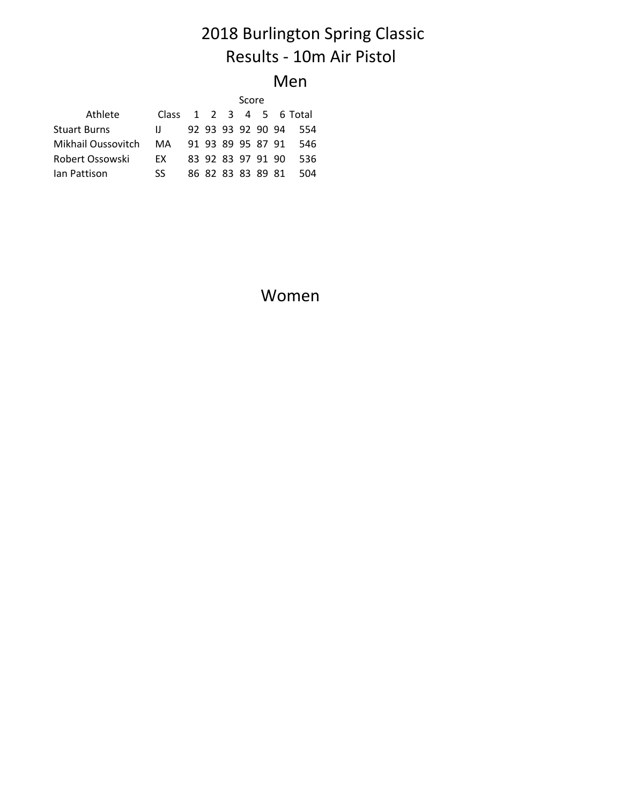# 2018 Burlington Spring Classic Results - 10m Air Pistol

#### Men

|                                             |              | Score |  |  |                   |  |  |                         |  |
|---------------------------------------------|--------------|-------|--|--|-------------------|--|--|-------------------------|--|
| Athlete                                     |              |       |  |  |                   |  |  | Class 1 2 3 4 5 6 Total |  |
| <b>Stuart Burns</b>                         | $\mathbf{H}$ |       |  |  | 92 93 93 92 90 94 |  |  | - 554                   |  |
| Mikhail Oussovitch MA 91 93 89 95 87 91 546 |              |       |  |  |                   |  |  |                         |  |
| Robert Ossowski                             | EX .         |       |  |  | 83 92 83 97 91 90 |  |  | -536                    |  |
| lan Pattison                                | SS.          |       |  |  | 86 82 83 83 89 81 |  |  | -504                    |  |

Women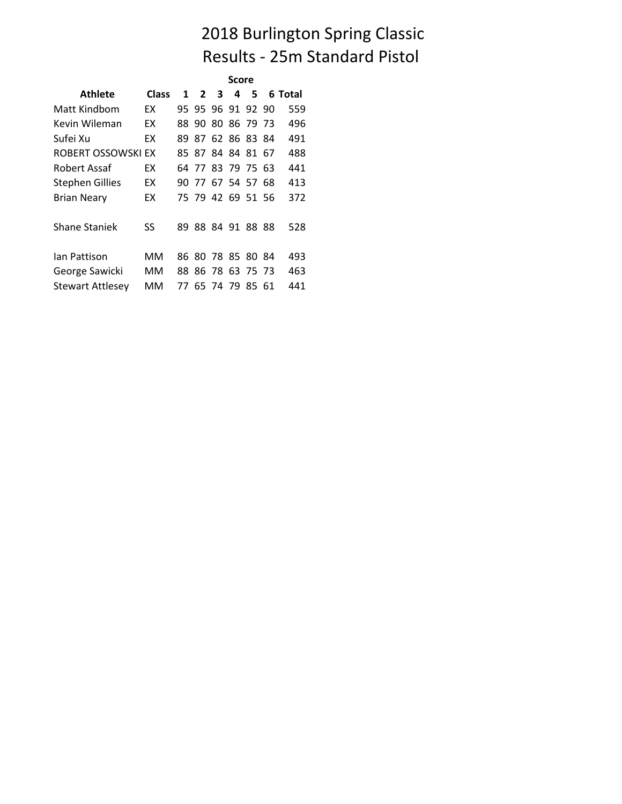### 2018 Burlington Spring Classic Results - 25m Standard Pistol

|                         |              | Score |                   |  |   |   |  |         |  |
|-------------------------|--------------|-------|-------------------|--|---|---|--|---------|--|
| Athlete                 | <b>Class</b> |       | $1\quad 2\quad 3$ |  | 4 | 5 |  | 6 Total |  |
| Matt Kindbom            | <b>FX</b>    |       | 95 95 96 91 92 90 |  |   |   |  | 559     |  |
| Kevin Wileman           | ЕX           |       | 88 90 80 86 79 73 |  |   |   |  | 496     |  |
| Sufei Xu                | ЕX           |       | 89 87 62 86 83 84 |  |   |   |  | 491     |  |
| ROBERT OSSOWSKI EX      |              |       | 85 87 84 84 81 67 |  |   |   |  | 488     |  |
| Robert Assaf            | FХ.          |       | 64 77 83 79 75 63 |  |   |   |  | 441     |  |
| <b>Stephen Gillies</b>  | ЕX           |       | 90 77 67 54 57 68 |  |   |   |  | 413     |  |
| <b>Brian Neary</b>      | ЕX           |       | 75 79 42 69 51 56 |  |   |   |  | 372     |  |
| Shane Staniek           | SS           |       | 89 88 84 91 88 88 |  |   |   |  | 528     |  |
| lan Pattison            | MM           |       | 86 80 78 85 80 84 |  |   |   |  | 493     |  |
| George Sawicki          | мм           |       | 88 86 78 63 75 73 |  |   |   |  | 463     |  |
| <b>Stewart Attlesey</b> | MМ           |       | 77 65 74 79 85 61 |  |   |   |  | 441     |  |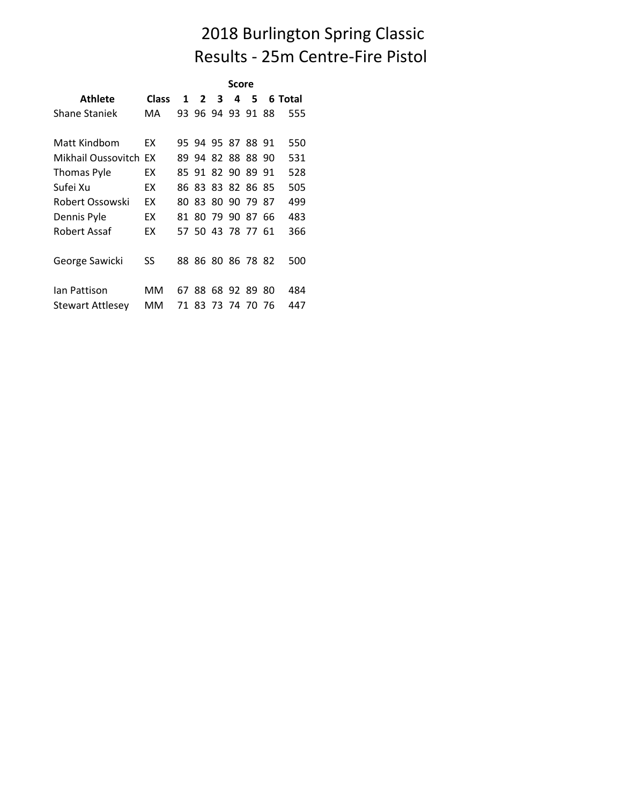#### 2018 Burlington Spring Classic Results - 25m Centre-Fire Pistol

|                         |              | Score |                   |  |   |    |    |         |  |
|-------------------------|--------------|-------|-------------------|--|---|----|----|---------|--|
| Athlete                 | <b>Class</b> |       | $1\quad 2\quad 3$ |  | 4 | 5. |    | 6 Total |  |
| <b>Shane Staniek</b>    | MA           |       | 93 96 94 93 91 88 |  |   |    |    | 555     |  |
| Matt Kindbom            | FХ.          |       | 95 94 95 87 88 91 |  |   |    |    | 550     |  |
| Mikhail Oussovitch EX   |              |       | 89 94 82 88 88 90 |  |   |    |    | 531     |  |
| Thomas Pyle             | ЕX           |       | 85 91 82 90 89 91 |  |   |    |    | 528     |  |
| Sufei Xu                | ЕX           |       | 86 83 83 82 86 85 |  |   |    |    | 505     |  |
| Robert Ossowski         | ЕX           |       | 80 83 80 90 79 87 |  |   |    |    | 499     |  |
| Dennis Pyle             | ЕX           |       | 81 80 79 90 87 66 |  |   |    |    | 483     |  |
| Robert Assaf            | ЕX           |       | 57 50 43 78 77 61 |  |   |    |    | 366     |  |
| George Sawicki          | SS           |       | 88 86 80 86 78 82 |  |   |    |    | 500     |  |
| lan Pattison            | мм           |       | 67 88 68 92 89    |  |   |    | 80 | 484     |  |
| <b>Stewart Attlesey</b> | MМ           |       | 71 83 73 74 70 76 |  |   |    |    | 447     |  |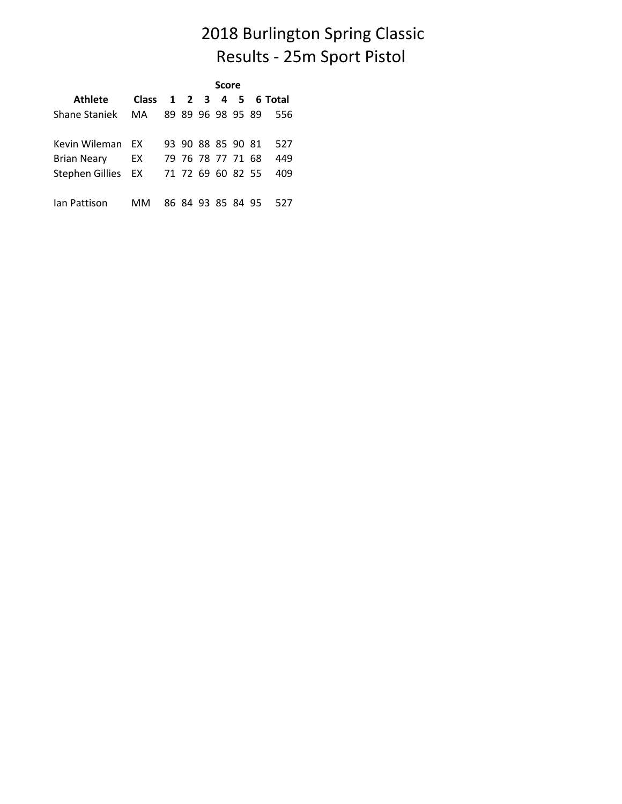### 2018 Burlington Spring Classic Results - 25m Sport Pistol

|                                        |    | Score |  |                   |  |  |  |      |  |  |  |
|----------------------------------------|----|-------|--|-------------------|--|--|--|------|--|--|--|
| Athlete Class 1 2 3 4 5 6 Total        |    |       |  |                   |  |  |  |      |  |  |  |
| Shane Staniek MA 89 89 96 98 95 89 556 |    |       |  |                   |  |  |  |      |  |  |  |
| Kevin Wileman EX                       |    |       |  | 93 90 88 85 90 81 |  |  |  | 527  |  |  |  |
| Brian Neary                            | EX |       |  | 79 76 78 77 71 68 |  |  |  | 449  |  |  |  |
| Stephen Gillies EX 71 72 69 60 82 55   |    |       |  |                   |  |  |  | 409  |  |  |  |
| lan Pattison                           | MМ |       |  | 86 84 93 85 84 95 |  |  |  | -527 |  |  |  |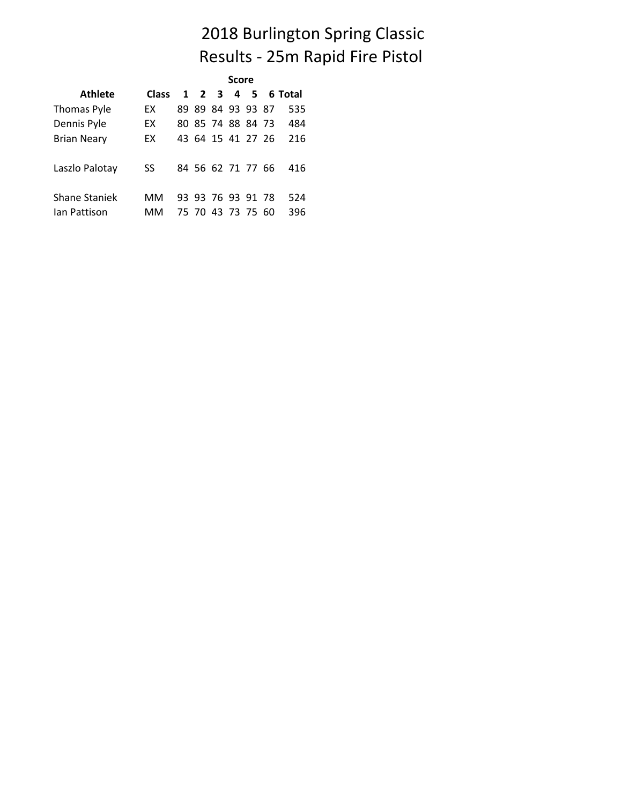### 2018 Burlington Spring Classic Results - 25m Rapid Fire Pistol

|                      |              | <b>Score</b> |                   |  |  |  |  |                   |  |  |
|----------------------|--------------|--------------|-------------------|--|--|--|--|-------------------|--|--|
| Athlete              | <b>Class</b> |              |                   |  |  |  |  | 1 2 3 4 5 6 Total |  |  |
| <b>Thomas Pyle</b>   | FΧ.          |              | 89 89 84 93 93 87 |  |  |  |  | 535               |  |  |
| Dennis Pyle          | EX           |              | 80 85 74 88 84 73 |  |  |  |  | 484               |  |  |
| <b>Brian Neary</b>   | EX           |              | 43 64 15 41 27 26 |  |  |  |  | 216               |  |  |
| Laszlo Palotay       | SS           |              | 84 56 62 71 77 66 |  |  |  |  | 416               |  |  |
| <b>Shane Staniek</b> | MМ           |              | 93 93 76 93 91 78 |  |  |  |  | 524               |  |  |
| lan Pattison         | мм           |              | 75 70 43 73 75 60 |  |  |  |  | 396               |  |  |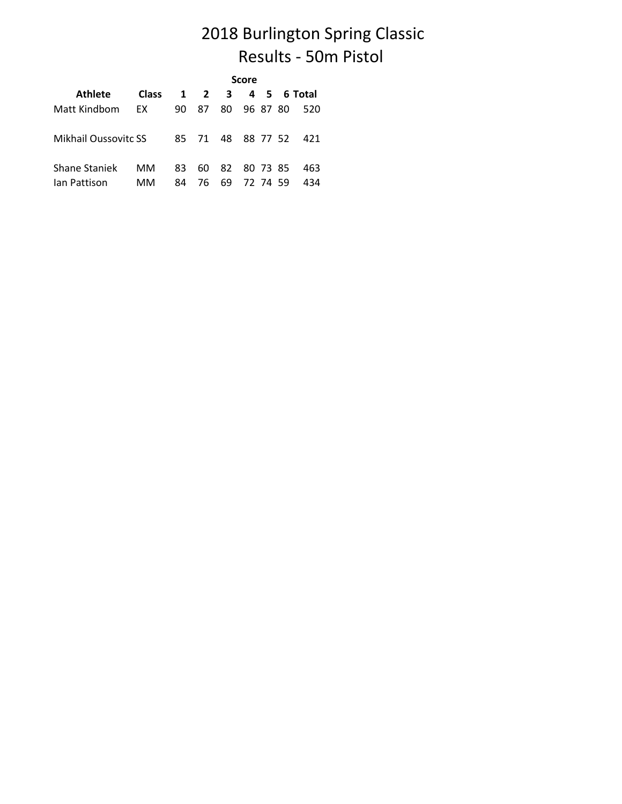### 2018 Burlington Spring Classic Results - 50m Pistol

|                             |              | <b>Score</b> |                     |             |          |          |  |                       |  |  |
|-----------------------------|--------------|--------------|---------------------|-------------|----------|----------|--|-----------------------|--|--|
| <b>Athlete</b>              | <b>Class</b> |              | $1 \quad 2 \quad 3$ |             |          |          |  | 4 5 6 Total           |  |  |
| Matt Kindbom                | EX           | 90           | 87                  | 80          | 96 87 80 |          |  | 520                   |  |  |
| <b>Mikhail Oussovitc SS</b> |              |              |                     |             |          |          |  | 85 71 48 88 77 52 421 |  |  |
| <b>Shane Staniek</b>        | MМ           | 83           | 60                  | 82 80 73 85 |          |          |  | 463                   |  |  |
| lan Pattison                | MМ           | 84           | 76                  | 69          |          | 72 74 59 |  | 434                   |  |  |